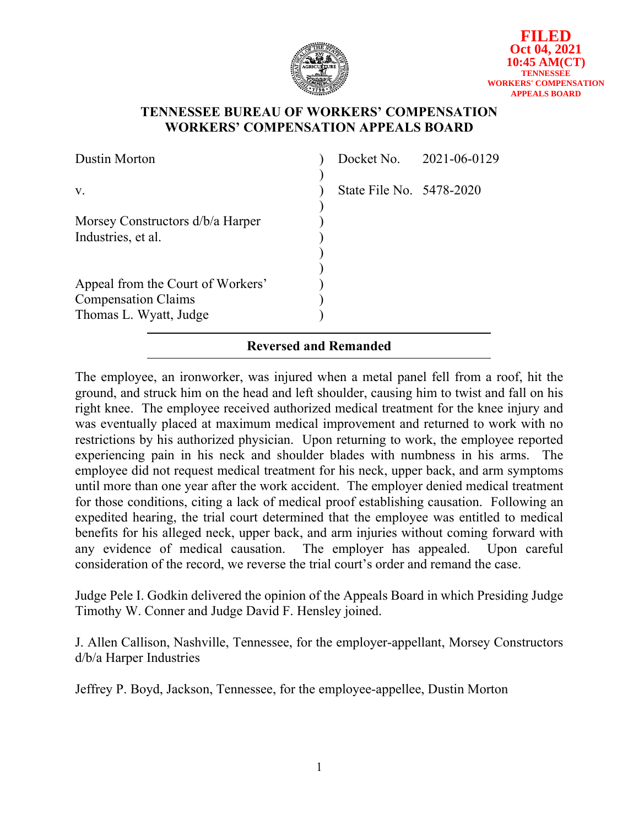

## **TENNESSEE BUREAU OF WORKERS' COMPENSATION WORKERS' COMPENSATION APPEALS BOARD**

| <b>Dustin Morton</b>              |                              | Docket No. 2021-06-0129 |
|-----------------------------------|------------------------------|-------------------------|
| V.                                | State File No. 5478-2020     |                         |
|                                   |                              |                         |
| Morsey Constructors d/b/a Harper  |                              |                         |
| Industries, et al.                |                              |                         |
|                                   |                              |                         |
|                                   |                              |                         |
| Appeal from the Court of Workers' |                              |                         |
| <b>Compensation Claims</b>        |                              |                         |
| Thomas L. Wyatt, Judge            |                              |                         |
|                                   | <b>Reversed and Remanded</b> |                         |

The employee, an ironworker, was injured when a metal panel fell from a roof, hit the ground, and struck him on the head and left shoulder, causing him to twist and fall on his right knee. The employee received authorized medical treatment for the knee injury and was eventually placed at maximum medical improvement and returned to work with no restrictions by his authorized physician. Upon returning to work, the employee reported experiencing pain in his neck and shoulder blades with numbness in his arms. The employee did not request medical treatment for his neck, upper back, and arm symptoms until more than one year after the work accident. The employer denied medical treatment for those conditions, citing a lack of medical proof establishing causation. Following an expedited hearing, the trial court determined that the employee was entitled to medical benefits for his alleged neck, upper back, and arm injuries without coming forward with any evidence of medical causation. The employer has appealed. Upon careful consideration of the record, we reverse the trial court's order and remand the case.

Judge Pele I. Godkin delivered the opinion of the Appeals Board in which Presiding Judge Timothy W. Conner and Judge David F. Hensley joined.

J. Allen Callison, Nashville, Tennessee, for the employer-appellant, Morsey Constructors d/b/a Harper Industries

Jeffrey P. Boyd, Jackson, Tennessee, for the employee-appellee, Dustin Morton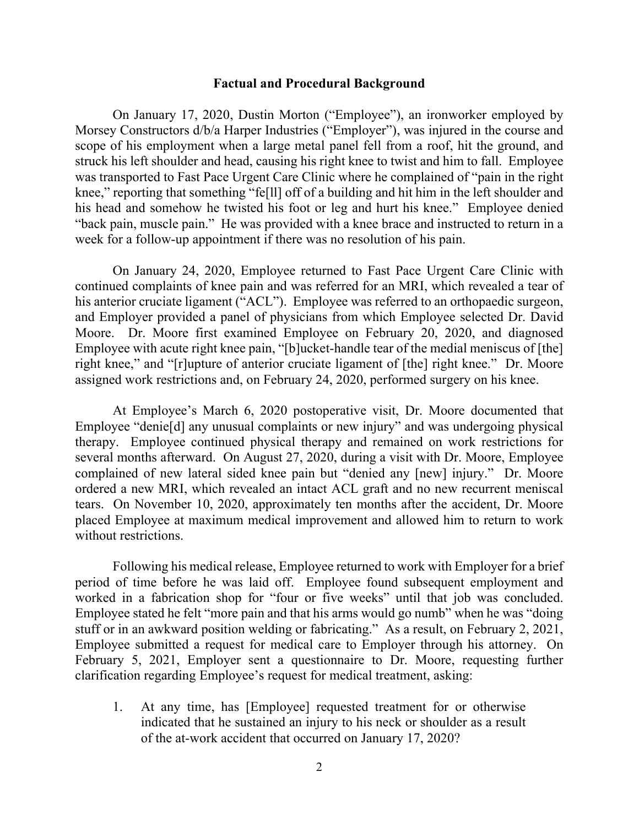#### **Factual and Procedural Background**

On January 17, 2020, Dustin Morton ("Employee"), an ironworker employed by Morsey Constructors d/b/a Harper Industries ("Employer"), was injured in the course and scope of his employment when a large metal panel fell from a roof, hit the ground, and struck his left shoulder and head, causing his right knee to twist and him to fall. Employee was transported to Fast Pace Urgent Care Clinic where he complained of "pain in the right knee," reporting that something "fe[ll] off of a building and hit him in the left shoulder and his head and somehow he twisted his foot or leg and hurt his knee." Employee denied "back pain, muscle pain." He was provided with a knee brace and instructed to return in a week for a follow-up appointment if there was no resolution of his pain.

On January 24, 2020, Employee returned to Fast Pace Urgent Care Clinic with continued complaints of knee pain and was referred for an MRI, which revealed a tear of his anterior cruciate ligament ("ACL"). Employee was referred to an orthopaedic surgeon, and Employer provided a panel of physicians from which Employee selected Dr. David Moore. Dr. Moore first examined Employee on February 20, 2020, and diagnosed Employee with acute right knee pain, "[b]ucket-handle tear of the medial meniscus of [the] right knee," and "[r]upture of anterior cruciate ligament of [the] right knee." Dr. Moore assigned work restrictions and, on February 24, 2020, performed surgery on his knee.

At Employee's March 6, 2020 postoperative visit, Dr. Moore documented that Employee "denie<sup>[d]</sup> any unusual complaints or new injury" and was undergoing physical therapy. Employee continued physical therapy and remained on work restrictions for several months afterward. On August 27, 2020, during a visit with Dr. Moore, Employee complained of new lateral sided knee pain but "denied any [new] injury." Dr. Moore ordered a new MRI, which revealed an intact ACL graft and no new recurrent meniscal tears. On November 10, 2020, approximately ten months after the accident, Dr. Moore placed Employee at maximum medical improvement and allowed him to return to work without restrictions.

Following his medical release, Employee returned to work with Employer for a brief period of time before he was laid off. Employee found subsequent employment and worked in a fabrication shop for "four or five weeks" until that job was concluded. Employee stated he felt "more pain and that his arms would go numb" when he was "doing stuff or in an awkward position welding or fabricating." As a result, on February 2, 2021, Employee submitted a request for medical care to Employer through his attorney. On February 5, 2021, Employer sent a questionnaire to Dr. Moore, requesting further clarification regarding Employee's request for medical treatment, asking:

1. At any time, has [Employee] requested treatment for or otherwise indicated that he sustained an injury to his neck or shoulder as a result of the at-work accident that occurred on January 17, 2020?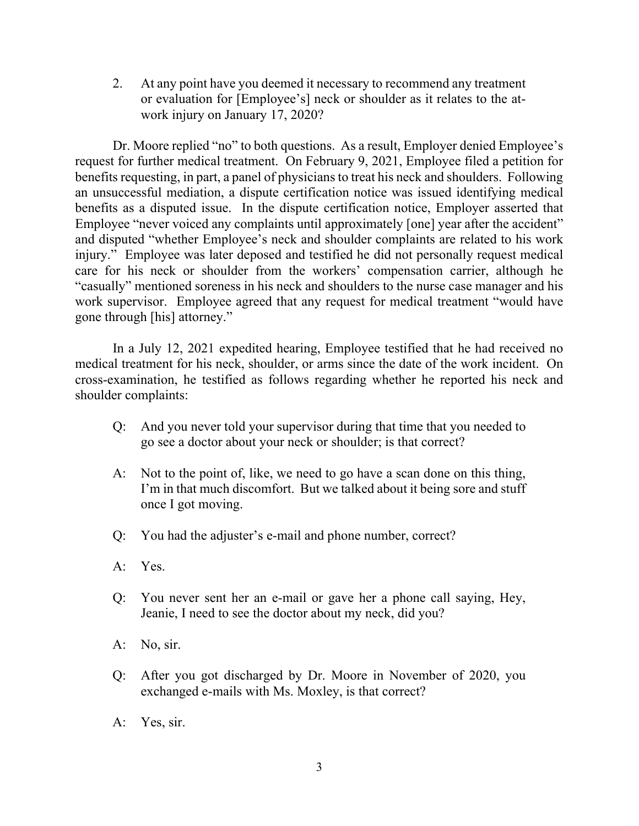2. At any point have you deemed it necessary to recommend any treatment or evaluation for [Employee's] neck or shoulder as it relates to the atwork injury on January 17, 2020?

Dr. Moore replied "no" to both questions. As a result, Employer denied Employee's request for further medical treatment. On February 9, 2021, Employee filed a petition for benefits requesting, in part, a panel of physicians to treat his neck and shoulders. Following an unsuccessful mediation, a dispute certification notice was issued identifying medical benefits as a disputed issue. In the dispute certification notice, Employer asserted that Employee "never voiced any complaints until approximately [one] year after the accident" and disputed "whether Employee's neck and shoulder complaints are related to his work injury." Employee was later deposed and testified he did not personally request medical care for his neck or shoulder from the workers' compensation carrier, although he "casually" mentioned soreness in his neck and shoulders to the nurse case manager and his work supervisor. Employee agreed that any request for medical treatment "would have gone through [his] attorney."

In a July 12, 2021 expedited hearing, Employee testified that he had received no medical treatment for his neck, shoulder, or arms since the date of the work incident. On cross-examination, he testified as follows regarding whether he reported his neck and shoulder complaints:

- Q: And you never told your supervisor during that time that you needed to go see a doctor about your neck or shoulder; is that correct?
- A: Not to the point of, like, we need to go have a scan done on this thing, I'm in that much discomfort. But we talked about it being sore and stuff once I got moving.
- Q: You had the adjuster's e-mail and phone number, correct?
- A: Yes.
- Q: You never sent her an e-mail or gave her a phone call saying, Hey, Jeanie, I need to see the doctor about my neck, did you?
- A: No, sir.
- Q: After you got discharged by Dr. Moore in November of 2020, you exchanged e-mails with Ms. Moxley, is that correct?
- A: Yes, sir.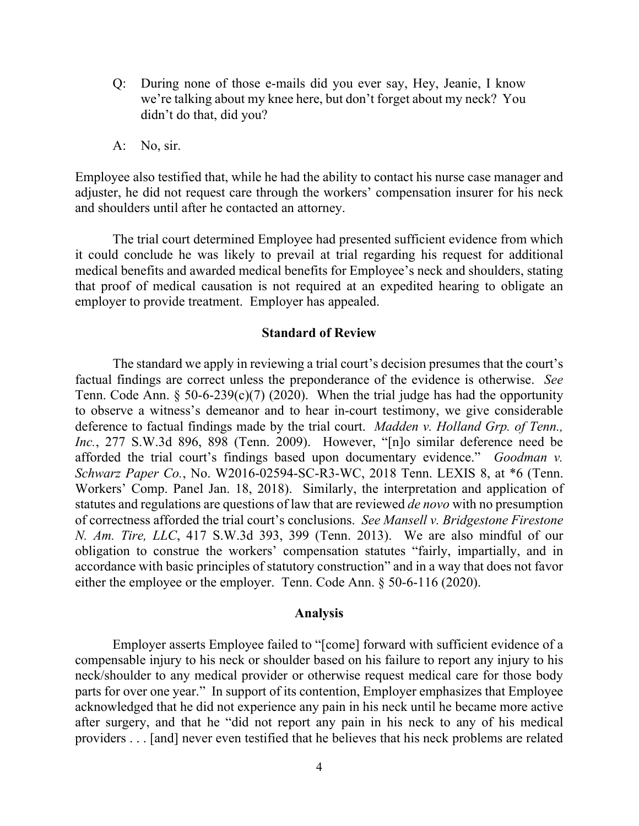- Q: During none of those e-mails did you ever say, Hey, Jeanie, I know we're talking about my knee here, but don't forget about my neck? You didn't do that, did you?
- A: No, sir.

Employee also testified that, while he had the ability to contact his nurse case manager and adjuster, he did not request care through the workers' compensation insurer for his neck and shoulders until after he contacted an attorney.

The trial court determined Employee had presented sufficient evidence from which it could conclude he was likely to prevail at trial regarding his request for additional medical benefits and awarded medical benefits for Employee's neck and shoulders, stating that proof of medical causation is not required at an expedited hearing to obligate an employer to provide treatment. Employer has appealed.

### **Standard of Review**

The standard we apply in reviewing a trial court's decision presumes that the court's factual findings are correct unless the preponderance of the evidence is otherwise. *See* Tenn. Code Ann. § 50-6-239(c)(7) (2020). When the trial judge has had the opportunity to observe a witness's demeanor and to hear in-court testimony, we give considerable deference to factual findings made by the trial court. *Madden v. Holland Grp. of Tenn., Inc.*, 277 S.W.3d 896, 898 (Tenn. 2009). However, "[n]o similar deference need be afforded the trial court's findings based upon documentary evidence." *Goodman v. Schwarz Paper Co.*, No. W2016-02594-SC-R3-WC, 2018 Tenn. LEXIS 8, at \*6 (Tenn. Workers' Comp. Panel Jan. 18, 2018). Similarly, the interpretation and application of statutes and regulations are questions of law that are reviewed *de novo* with no presumption of correctness afforded the trial court's conclusions. *See Mansell v. Bridgestone Firestone N. Am. Tire, LLC*, 417 S.W.3d 393, 399 (Tenn. 2013). We are also mindful of our obligation to construe the workers' compensation statutes "fairly, impartially, and in accordance with basic principles of statutory construction" and in a way that does not favor either the employee or the employer. Tenn. Code Ann. § 50-6-116 (2020).

#### **Analysis**

Employer asserts Employee failed to "[come] forward with sufficient evidence of a compensable injury to his neck or shoulder based on his failure to report any injury to his neck/shoulder to any medical provider or otherwise request medical care for those body parts for over one year." In support of its contention, Employer emphasizes that Employee acknowledged that he did not experience any pain in his neck until he became more active after surgery, and that he "did not report any pain in his neck to any of his medical providers . . . [and] never even testified that he believes that his neck problems are related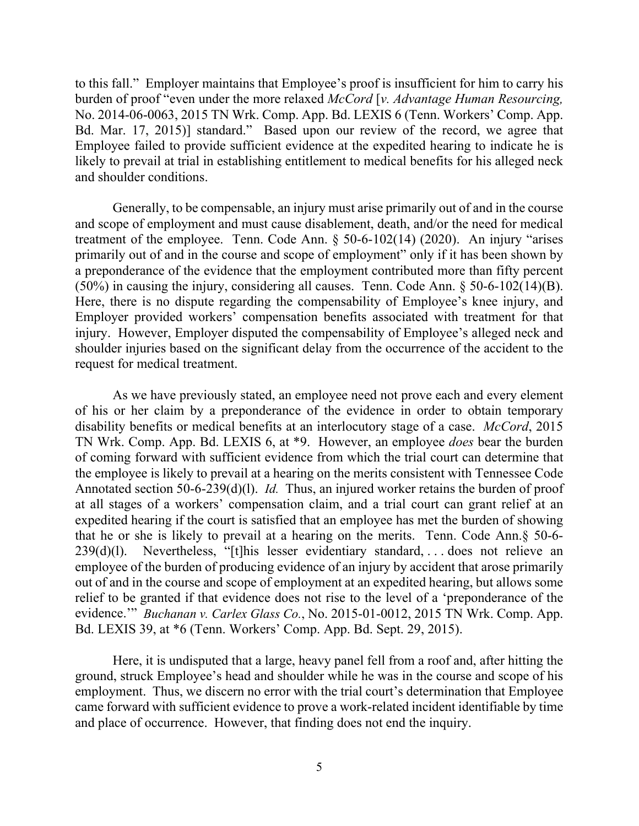to this fall." Employer maintains that Employee's proof is insufficient for him to carry his burden of proof "even under the more relaxed *McCord* [*v. Advantage Human Resourcing,* No. 2014-06-0063, 2015 TN Wrk. Comp. App. Bd. LEXIS 6 (Tenn. Workers' Comp. App. Bd. Mar. 17, 2015)] standard." Based upon our review of the record, we agree that Employee failed to provide sufficient evidence at the expedited hearing to indicate he is likely to prevail at trial in establishing entitlement to medical benefits for his alleged neck and shoulder conditions.

Generally, to be compensable, an injury must arise primarily out of and in the course and scope of employment and must cause disablement, death, and/or the need for medical treatment of the employee. Tenn. Code Ann.  $\S$  50-6-102(14) (2020). An injury "arises primarily out of and in the course and scope of employment" only if it has been shown by a preponderance of the evidence that the employment contributed more than fifty percent (50%) in causing the injury, considering all causes. Tenn. Code Ann. § 50-6-102(14)(B). Here, there is no dispute regarding the compensability of Employee's knee injury, and Employer provided workers' compensation benefits associated with treatment for that injury. However, Employer disputed the compensability of Employee's alleged neck and shoulder injuries based on the significant delay from the occurrence of the accident to the request for medical treatment.

As we have previously stated, an employee need not prove each and every element of his or her claim by a preponderance of the evidence in order to obtain temporary disability benefits or medical benefits at an interlocutory stage of a case. *McCord*, 2015 TN Wrk. Comp. App. Bd. LEXIS 6, at \*9. However, an employee *does* bear the burden of coming forward with sufficient evidence from which the trial court can determine that the employee is likely to prevail at a hearing on the merits consistent with Tennessee Code Annotated section 50-6-239(d)(l). *Id.* Thus, an injured worker retains the burden of proof at all stages of a workers' compensation claim, and a trial court can grant relief at an expedited hearing if the court is satisfied that an employee has met the burden of showing that he or she is likely to prevail at a hearing on the merits. Tenn. Code Ann.§ 50-6- 239(d)(l). Nevertheless, "[t]his lesser evidentiary standard, . . . does not relieve an employee of the burden of producing evidence of an injury by accident that arose primarily out of and in the course and scope of employment at an expedited hearing, but allows some relief to be granted if that evidence does not rise to the level of a 'preponderance of the evidence.'" *Buchanan v. Carlex Glass Co.*, No. 2015-01-0012, 2015 TN Wrk. Comp. App. Bd. LEXIS 39, at \*6 (Tenn. Workers' Comp. App. Bd. Sept. 29, 2015).

Here, it is undisputed that a large, heavy panel fell from a roof and, after hitting the ground, struck Employee's head and shoulder while he was in the course and scope of his employment. Thus, we discern no error with the trial court's determination that Employee came forward with sufficient evidence to prove a work-related incident identifiable by time and place of occurrence. However, that finding does not end the inquiry.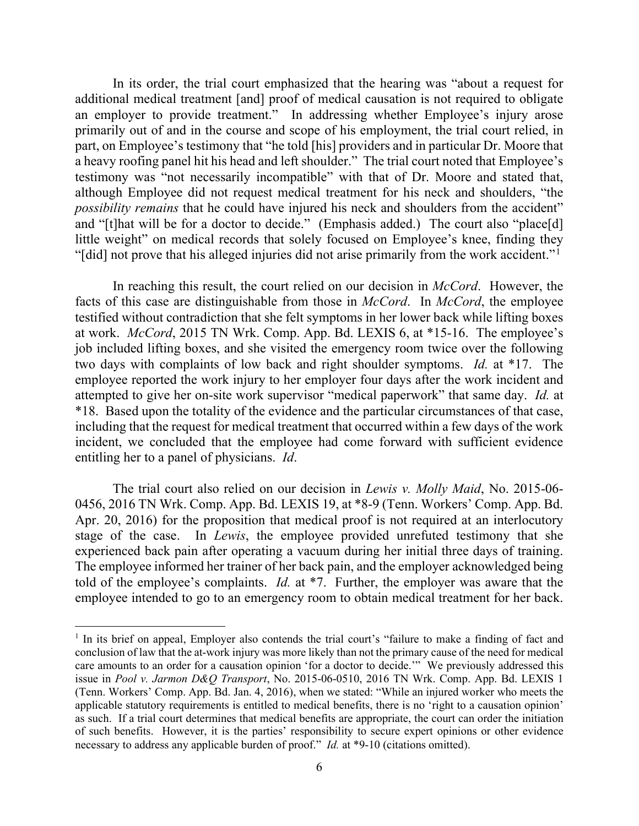In its order, the trial court emphasized that the hearing was "about a request for additional medical treatment [and] proof of medical causation is not required to obligate an employer to provide treatment." In addressing whether Employee's injury arose primarily out of and in the course and scope of his employment, the trial court relied, in part, on Employee's testimony that "he told [his] providers and in particular Dr. Moore that a heavy roofing panel hit his head and left shoulder." The trial court noted that Employee's testimony was "not necessarily incompatible" with that of Dr. Moore and stated that, although Employee did not request medical treatment for his neck and shoulders, "the *possibility remains* that he could have injured his neck and shoulders from the accident" and "[t]hat will be for a doctor to decide." (Emphasis added.) The court also "place[d] little weight" on medical records that solely focused on Employee's knee, finding they "[did] not prove that his alleged injuries did not arise primarily from the work accident."<sup>[1](#page-5-0)</sup>

In reaching this result, the court relied on our decision in *McCord*. However, the facts of this case are distinguishable from those in *McCord*. In *McCord*, the employee testified without contradiction that she felt symptoms in her lower back while lifting boxes at work. *McCord*, 2015 TN Wrk. Comp. App. Bd. LEXIS 6, at \*15-16. The employee's job included lifting boxes, and she visited the emergency room twice over the following two days with complaints of low back and right shoulder symptoms. *Id.* at \*17. The employee reported the work injury to her employer four days after the work incident and attempted to give her on-site work supervisor "medical paperwork" that same day. *Id.* at \*18. Based upon the totality of the evidence and the particular circumstances of that case, including that the request for medical treatment that occurred within a few days of the work incident, we concluded that the employee had come forward with sufficient evidence entitling her to a panel of physicians. *Id*.

The trial court also relied on our decision in *Lewis v. Molly Maid*, No. 2015-06- 0456, 2016 TN Wrk. Comp. App. Bd. LEXIS 19, at \*8-9 (Tenn. Workers' Comp. App. Bd. Apr. 20, 2016) for the proposition that medical proof is not required at an interlocutory stage of the case. In *Lewis*, the employee provided unrefuted testimony that she experienced back pain after operating a vacuum during her initial three days of training. The employee informed her trainer of her back pain, and the employer acknowledged being told of the employee's complaints. *Id.* at \*7. Further, the employer was aware that the employee intended to go to an emergency room to obtain medical treatment for her back.

<span id="page-5-0"></span><sup>&</sup>lt;sup>1</sup> In its brief on appeal, Employer also contends the trial court's "failure to make a finding of fact and conclusion of law that the at-work injury was more likely than not the primary cause of the need for medical care amounts to an order for a causation opinion 'for a doctor to decide.'" We previously addressed this issue in *Pool v. Jarmon D&Q Transport*, No. 2015-06-0510, 2016 TN Wrk. Comp. App. Bd. LEXIS 1 (Tenn. Workers' Comp. App. Bd. Jan. 4, 2016), when we stated: "While an injured worker who meets the applicable statutory requirements is entitled to medical benefits, there is no 'right to a causation opinion' as such. If a trial court determines that medical benefits are appropriate, the court can order the initiation of such benefits. However, it is the parties' responsibility to secure expert opinions or other evidence necessary to address any applicable burden of proof." *Id.* at \*9-10 (citations omitted).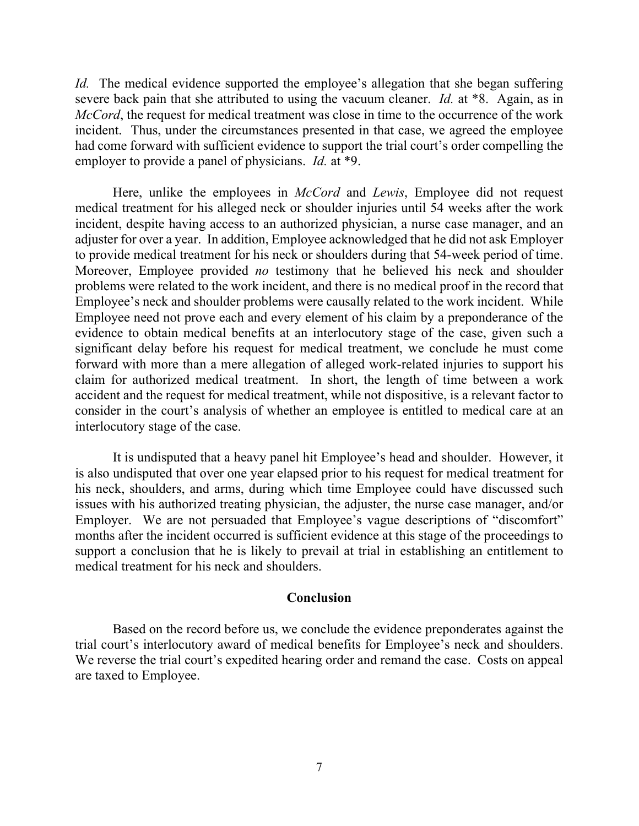*Id.* The medical evidence supported the employee's allegation that she began suffering severe back pain that she attributed to using the vacuum cleaner. *Id.* at \*8. Again, as in *McCord*, the request for medical treatment was close in time to the occurrence of the work incident. Thus, under the circumstances presented in that case, we agreed the employee had come forward with sufficient evidence to support the trial court's order compelling the employer to provide a panel of physicians. *Id.* at \*9.

Here, unlike the employees in *McCord* and *Lewis*, Employee did not request medical treatment for his alleged neck or shoulder injuries until 54 weeks after the work incident, despite having access to an authorized physician, a nurse case manager, and an adjuster for over a year. In addition, Employee acknowledged that he did not ask Employer to provide medical treatment for his neck or shoulders during that 54-week period of time. Moreover, Employee provided *no* testimony that he believed his neck and shoulder problems were related to the work incident, and there is no medical proof in the record that Employee's neck and shoulder problems were causally related to the work incident. While Employee need not prove each and every element of his claim by a preponderance of the evidence to obtain medical benefits at an interlocutory stage of the case, given such a significant delay before his request for medical treatment, we conclude he must come forward with more than a mere allegation of alleged work-related injuries to support his claim for authorized medical treatment. In short, the length of time between a work accident and the request for medical treatment, while not dispositive, is a relevant factor to consider in the court's analysis of whether an employee is entitled to medical care at an interlocutory stage of the case.

It is undisputed that a heavy panel hit Employee's head and shoulder. However, it is also undisputed that over one year elapsed prior to his request for medical treatment for his neck, shoulders, and arms, during which time Employee could have discussed such issues with his authorized treating physician, the adjuster, the nurse case manager, and/or Employer. We are not persuaded that Employee's vague descriptions of "discomfort" months after the incident occurred is sufficient evidence at this stage of the proceedings to support a conclusion that he is likely to prevail at trial in establishing an entitlement to medical treatment for his neck and shoulders.

### **Conclusion**

Based on the record before us, we conclude the evidence preponderates against the trial court's interlocutory award of medical benefits for Employee's neck and shoulders. We reverse the trial court's expedited hearing order and remand the case. Costs on appeal are taxed to Employee.